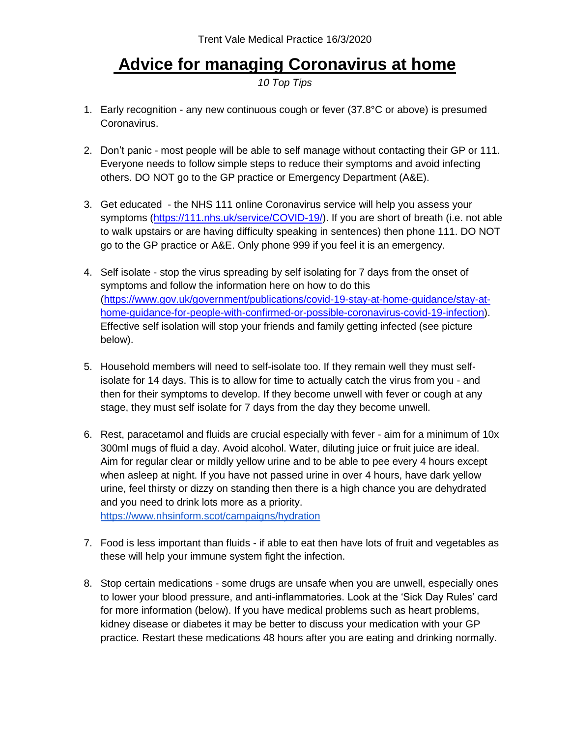## **Advice for managing Coronavirus at home**

*10 Top Tips*

- 1. Early recognition any new continuous cough or fever (37.8°C or above) is presumed Coronavirus.
- 2. Don't panic most people will be able to self manage without contacting their GP or 111. Everyone needs to follow simple steps to reduce their symptoms and avoid infecting others. DO NOT go to the GP practice or Emergency Department (A&E).
- 3. Get educated the NHS 111 online Coronavirus service will help you assess your symptoms [\(https://111.nhs.uk/service/COVID-19/\)](https://111.nhs.uk/service/COVID-19/). If you are short of breath (i.e. not able to walk upstairs or are having difficulty speaking in sentences) then phone 111. DO NOT go to the GP practice or A&E. Only phone 999 if you feel it is an emergency.
- 4. Self isolate stop the virus spreading by self isolating for 7 days from the onset of symptoms and follow the information here on how to do this [\(https://www.gov.uk/government/publications/covid-19-stay-at-home-guidance/stay-at](https://www.gov.uk/government/publications/covid-19-stay-at-home-guidance/stay-at-home-guidance-for-people-with-confirmed-or-possible-coronavirus-covid-19-infection)[home-guidance-for-people-with-confirmed-or-possible-coronavirus-covid-19-infection\)](https://www.gov.uk/government/publications/covid-19-stay-at-home-guidance/stay-at-home-guidance-for-people-with-confirmed-or-possible-coronavirus-covid-19-infection). Effective self isolation will stop your friends and family getting infected (see picture below).
- 5. Household members will need to self-isolate too. If they remain well they must selfisolate for 14 days. This is to allow for time to actually catch the virus from you - and then for their symptoms to develop. If they become unwell with fever or cough at any stage, they must self isolate for 7 days from the day they become unwell.
- 6. Rest, paracetamol and fluids are crucial especially with fever aim for a minimum of 10x 300ml mugs of fluid a day. Avoid alcohol. Water, diluting juice or fruit juice are ideal. Aim for regular clear or mildly yellow urine and to be able to pee every 4 hours except when asleep at night. If you have not passed urine in over 4 hours, have dark yellow urine, feel thirsty or dizzy on standing then there is a high chance you are dehydrated and you need to drink lots more as a priority. <https://www.nhsinform.scot/campaigns/hydration>

7. Food is less important than fluids - if able to eat then have lots of fruit and vegetables as

- these will help your immune system fight the infection. 8. Stop certain medications - some drugs are unsafe when you are unwell, especially ones to lower your blood pressure, and anti-inflammatories. Look at the 'Sick Day Rules' card for more information (below). If you have medical problems such as heart problems,
	- kidney disease or diabetes it may be better to discuss your medication with your GP practice. Restart these medications 48 hours after you are eating and drinking normally.